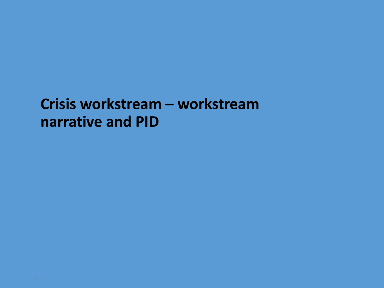### Crisis workstream - workstream narrative and PID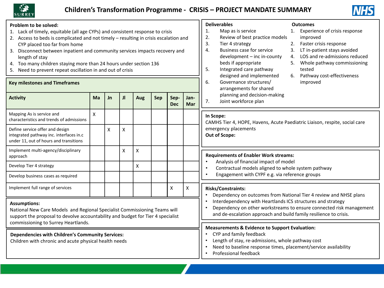



| Problem to be solved:<br>1. Lack of timely, equitable (all age CYPs) and consistent response to crisis<br>2. Access to beds is complicated and not timely - resulting in crisis escalation and<br>CYP placed too far from home<br>3. Disconnect between inpatient and community services impacts recovery and<br>length of stay<br>4. Too many children staying more than 24 hours under section 136<br>5. Need to prevent repeat oscillation in and out of crisis<br><b>Key milestones and Timeframes</b> |    |           |              |     |     |                    |                                                                                                                                                                                                         | <b>Deliverables</b><br><b>Outcomes</b><br>Experience of crisis response<br>1.<br>Map as is service<br>1.<br>2.<br>Review of best practice models<br>improved<br>3.<br>Faster crisis response<br>Tier 4 strategy<br>2.<br><b>Business case for service</b><br>LT in-patient stays avoided<br>4.<br>3.<br>LOS and re-admissions reduced<br>development - inc in-county<br>4.<br>beds if appropriate<br>Whole pathway commissioning<br>5.<br>Integrated care pathway<br>tested<br>5.<br>Pathway cost-effectiveness<br>designed and implemented<br>6.<br>Governance structures/<br>6.<br>improved<br>arrangements for shared |  |
|------------------------------------------------------------------------------------------------------------------------------------------------------------------------------------------------------------------------------------------------------------------------------------------------------------------------------------------------------------------------------------------------------------------------------------------------------------------------------------------------------------|----|-----------|--------------|-----|-----|--------------------|---------------------------------------------------------------------------------------------------------------------------------------------------------------------------------------------------------|--------------------------------------------------------------------------------------------------------------------------------------------------------------------------------------------------------------------------------------------------------------------------------------------------------------------------------------------------------------------------------------------------------------------------------------------------------------------------------------------------------------------------------------------------------------------------------------------------------------------------|--|
| <b>Activity</b>                                                                                                                                                                                                                                                                                                                                                                                                                                                                                            | Ma | <b>Jn</b> | $\mathbf{J}$ | Aug | Sep | Sep-<br><b>Dec</b> | Jan-<br>Mar                                                                                                                                                                                             | planning and decision-making<br>Joint workforce plan<br>7.                                                                                                                                                                                                                                                                                                                                                                                                                                                                                                                                                               |  |
| Mapping As is service and<br>characteristics and trends of admissions                                                                                                                                                                                                                                                                                                                                                                                                                                      | X  |           |              |     |     |                    |                                                                                                                                                                                                         | In Scope:<br>CAMHS Tier 4, HOPE, Havens, Acute Paediatric Liaison, respite, social care<br>emergency placements<br>Out of Scope:                                                                                                                                                                                                                                                                                                                                                                                                                                                                                         |  |
| Define service offer and design<br>integrated pathway inc. interfaces in.c<br>under 11, out of hours and transitions                                                                                                                                                                                                                                                                                                                                                                                       |    | X         | X            |     |     |                    |                                                                                                                                                                                                         |                                                                                                                                                                                                                                                                                                                                                                                                                                                                                                                                                                                                                          |  |
| Implement multi-agency/disciplinary<br>approach                                                                                                                                                                                                                                                                                                                                                                                                                                                            |    |           | X            | X   |     |                    |                                                                                                                                                                                                         | <b>Requirements of Enabler Work streams:</b><br>Analysis of financial impact of model<br>Contractual models aligned to whole system pathway<br>Engagement with CYPF e.g. via reference groups                                                                                                                                                                                                                                                                                                                                                                                                                            |  |
| Develop Tier 4 strategy                                                                                                                                                                                                                                                                                                                                                                                                                                                                                    |    |           |              | X   |     |                    |                                                                                                                                                                                                         |                                                                                                                                                                                                                                                                                                                                                                                                                                                                                                                                                                                                                          |  |
| Develop business cases as required                                                                                                                                                                                                                                                                                                                                                                                                                                                                         |    |           |              |     |     |                    |                                                                                                                                                                                                         |                                                                                                                                                                                                                                                                                                                                                                                                                                                                                                                                                                                                                          |  |
| Implement full range of services                                                                                                                                                                                                                                                                                                                                                                                                                                                                           |    |           |              |     |     | X                  | Χ                                                                                                                                                                                                       | Risks/Constraints:<br>Dependency on outcomes from National Tier 4 review and NHSE plans                                                                                                                                                                                                                                                                                                                                                                                                                                                                                                                                  |  |
| <b>Assumptions:</b><br>National New Care Models and Regional Specialist Commissioning Teams will<br>support the proposal to devolve accountability and budget for Tier 4 specialist                                                                                                                                                                                                                                                                                                                        |    |           |              |     |     |                    | Interdependency with Heartlands ICS structures and strategy<br>Dependency on other workstreams to ensure connected risk management<br>and de-escalation approach and build family resilience to crisis. |                                                                                                                                                                                                                                                                                                                                                                                                                                                                                                                                                                                                                          |  |
| commissioning to Surrey Heartlands.<br><b>Dependencies with Children's Community Services:</b><br>Children with chronic and acute physical health needs                                                                                                                                                                                                                                                                                                                                                    |    |           |              |     |     |                    |                                                                                                                                                                                                         | <b>Measurements &amp; Evidence to Support Evaluation:</b><br>CYP and family feedback<br>Length of stay, re-admissions, whole pathway cost<br>Need to baseline response times, placement/service availability<br>Professional feedback                                                                                                                                                                                                                                                                                                                                                                                    |  |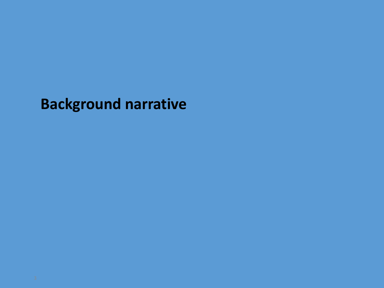**Background narrative**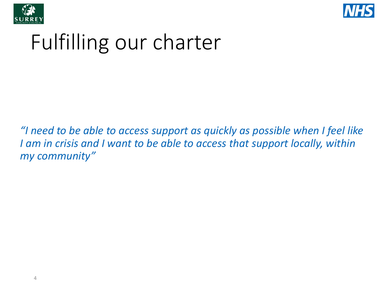



## Fulfilling our charter

*"I need to be able to access support as quickly as possible when I feel like I am in crisis and I want to be able to access that support locally, within my community"*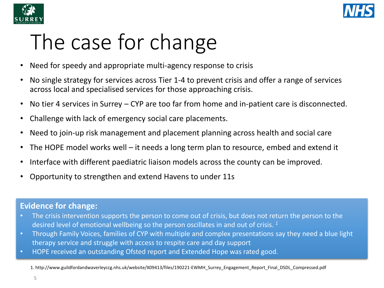



# The case for change

- Need for speedy and appropriate multi-agency response to crisis
- No single strategy for services across Tier 1-4 to prevent crisis and offer a range of services across local and specialised services for those approaching crisis.
- No tier 4 services in Surrey CYP are too far from home and in-patient care is disconnected.
- Challenge with lack of emergency social care placements.
- Need to join-up risk management and placement planning across health and social care
- The HOPE model works well it needs a long term plan to resource, embed and extend it
- Interface with different paediatric liaison models across the county can be improved.
- Opportunity to strengthen and extend Havens to under 11s

#### **Evidence for change:**

- The crisis intervention supports the person to come out of crisis, but does not return the person to the desired level of emotional wellbeing so the person oscillates in and out of crisis. *<sup>1</sup>*
- Through Family Voices, families of CYP with multiple and complex presentations say they need a blue light therapy service and struggle with access to respite care and day support
- HOPE received an outstanding Ofsted report and Extended Hope was rated good.

<sup>1.</sup> http://www.guildfordandwaverleyccg.nhs.uk/website/X09413/files/190221-EWMH\_Surrey\_Engagement\_Report\_Final\_DSDL\_Compressed.pdf